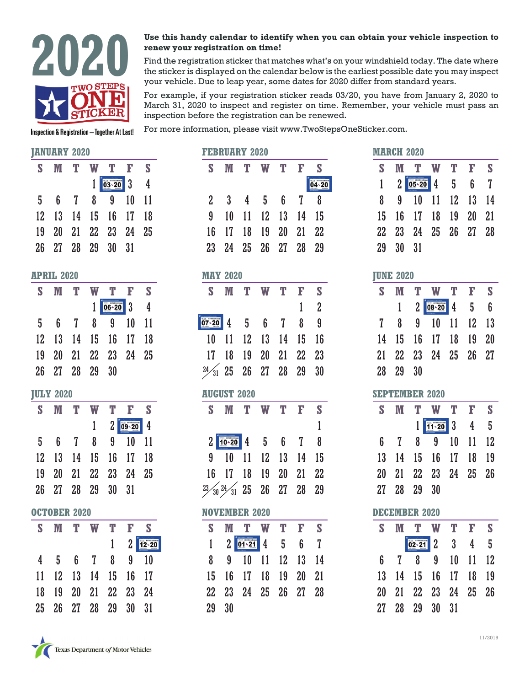

# **renew your registration on time!**

**2020 Use this handy calendar to identify when you can obtain your vehicle inspection to renew your registration on time!<br>
Find the registration sticker that matches what's on your windshield today. The date where the st** Find the registration sticker that matches what's on your windshield today. The date where the sticker is displayed on the calendar below is the earliest possible date you may inspect your vehicle. Due to leap year, some dates for 2020 differ from standard years.

> For example, if your registration sticker reads 03/20, you have from January 2, 2020 to March 31, 2020 to inspect and register on time. Remember, your vehicle must pass an inspection before the registration can be renewed.

For more information, please visit www.TwoStepsOneSticker.com.

**Inspection & Registration - Together At Last!** 

# **JANUARY 2020**

|                   | JANUANI 4040         |   |     |                         |                                    |
|-------------------|----------------------|---|-----|-------------------------|------------------------------------|
| S                 | M T                  | W |     | T F S                   |                                    |
|                   |                      |   |     | $1$ $03 - 20$ 3 4       |                                    |
|                   | 5 6 7 8 9 10 11      |   |     |                         |                                    |
|                   | 12 13 14 15 16 17    |   |     |                         | 18                                 |
|                   | 19 20 21 22 23 24 25 |   |     |                         |                                    |
|                   | 26 27 28 29 30 31    |   |     |                         |                                    |
| <b>APRIL 2020</b> |                      |   |     |                         |                                    |
|                   | S M T                |   | W T |                         | F S                                |
|                   |                      |   |     | $1$ 06 20 3 4           |                                    |
|                   | 5 6 7 8 9            |   |     |                         | $10$ 11                            |
|                   | 12 13 14 15 16 17 18 |   |     |                         |                                    |
|                   | 19 20 21 22 23 24 25 |   |     |                         |                                    |
|                   | 26 27 28 29 30       |   |     |                         |                                    |
| <b>JULY 2020</b>  |                      |   |     |                         |                                    |
|                   | S M T W T            |   |     | $\mathbf{F}$            | S                                  |
|                   |                      |   |     | $1 \t2 \t 09 \t20 \t 4$ |                                    |
|                   | 5 6 7 8 9 10         |   |     |                         | 11                                 |
|                   | 12 13 14 15 16 17 18 |   |     |                         |                                    |
|                   | 19 20 21 22 23 24 25 |   |     |                         |                                    |
|                   | 26 27 28 29 30 31    |   |     |                         |                                    |
|                   | <b>OCTOBER 2020</b>  |   |     |                         |                                    |
|                   | S M T W              |   |     | $T - F$                 | S                                  |
|                   |                      |   |     |                         | $1 \quad 2 \overline{12 \cdot 20}$ |
|                   | 4 5 6 7 8 9          |   |     |                         | 10                                 |
|                   |                      |   |     |                         | 11 12 13 14 15 16 17               |
| 18                |                      |   |     | 19 20 21 22 23 24       |                                    |

| <b>FEBRUARY 2020</b>                 |         |                                                                                                                                 |   |                |              |                         |
|--------------------------------------|---------|---------------------------------------------------------------------------------------------------------------------------------|---|----------------|--------------|-------------------------|
|                                      |         | S M T W                                                                                                                         |   | T              | F            | S                       |
|                                      |         |                                                                                                                                 |   |                |              | 04+20                   |
| $2\overline{ }$                      |         | 3 4 5 6 7                                                                                                                       |   |                |              | 8                       |
| 9                                    |         | 10 11 12 13 14 15                                                                                                               |   |                |              |                         |
| 16                                   |         | 17 18 19 20 21 22                                                                                                               |   |                |              |                         |
| $23\,$                               |         | 24  25  26  27  28  29                                                                                                          |   |                |              |                         |
|                                      |         |                                                                                                                                 |   |                |              |                         |
| <b>MAY 2020</b>                      |         |                                                                                                                                 |   |                |              |                         |
| $\mathbf{s}$                         |         | $M$ T                                                                                                                           | W | T              | $\mathbb F$  | <b>S</b>                |
|                                      |         |                                                                                                                                 |   |                | $\mathbf{1}$ | $\overline{\mathbf{2}}$ |
| $\overline{07 \cdot 20}$ 4 5 6 7 8 9 |         |                                                                                                                                 |   |                |              |                         |
| $10-10$                              |         | 11 12 13 14 15 16                                                                                                               |   |                |              |                         |
|                                      |         | 17 18 19 20 21 22 23                                                                                                            |   |                |              |                         |
| $24\frac{1}{31}$ 25 26 27 28 29      |         |                                                                                                                                 |   |                |              | 30                      |
| <b>AUGUST 2020</b>                   |         |                                                                                                                                 |   |                |              |                         |
| S                                    |         | M T W                                                                                                                           |   | $\mathbf{T}$   | $\mathbb F$  | $\mathbf{s}$            |
|                                      |         |                                                                                                                                 |   |                |              | $\mathbf{1}$            |
|                                      |         | $2 \begin{array}{ c c c c c } \hline \text{10-20} & \text{4} & \text{5} & \text{6} & \text{7} & \text{8} \\ \hline \end{array}$ |   |                |              |                         |
| 9                                    | $10-10$ |                                                                                                                                 |   | 11 12 13 14 15 |              |                         |
| 16                                   |         | 17 18 19 20 21 22                                                                                                               |   |                |              |                         |
| $23/30$ $24/31$ 25 26 27 28 29       |         |                                                                                                                                 |   |                |              |                         |
| <b>NOVEMBER 2020</b>                 |         |                                                                                                                                 |   |                |              |                         |
|                                      |         | S M T W T F S                                                                                                                   |   |                |              |                         |
| $\mathbf{1}$                         |         | $201-21456$                                                                                                                     |   |                |              | $\mathbf{I}$            |
|                                      |         |                                                                                                                                 |   |                |              |                         |
| 8                                    |         | 9 10                                                                                                                            |   | 11 12 13 14    |              |                         |
| 15                                   | 16      |                                                                                                                                 |   | 17 18 19 20    |              | 21                      |
|                                      |         | 22 23 24 25 26 27                                                                                                               |   |                |              | 28                      |
| 29                                   | 30      |                                                                                                                                 |   |                |              |                         |

| <b>DECEMBER 2020</b> |              |                       |                   |  |                        |   |  |  |  |
|----------------------|--------------|-----------------------|-------------------|--|------------------------|---|--|--|--|
| S.                   |              |                       | T W T F           |  |                        | S |  |  |  |
|                      |              |                       | $2 - 21$ 2 3      |  | 4                      | 5 |  |  |  |
| 6                    | $\mathbf{7}$ | $\boldsymbol{\delta}$ | 9 <sup>1</sup>    |  | $10 \quad 11 \quad 12$ |   |  |  |  |
| 13                   |              |                       | 14 15 16 17 18 19 |  |                        |   |  |  |  |
| 20                   |              |                       | 21 22 23 24 25 26 |  |                        |   |  |  |  |
| 27                   |              |                       | 28 29 30 31       |  |                        |   |  |  |  |



25 26 27 28 29 30 31